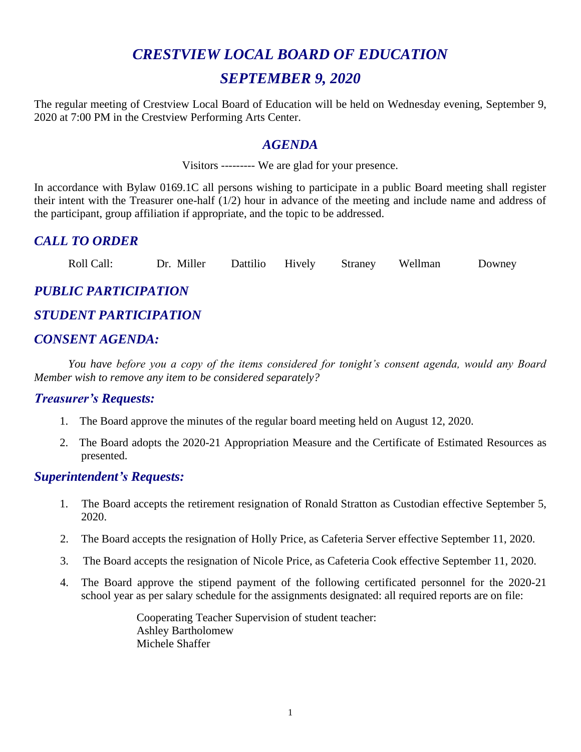# *CRESTVIEW LOCAL BOARD OF EDUCATION SEPTEMBER 9, 2020*

The regular meeting of Crestview Local Board of Education will be held on Wednesday evening, September 9, 2020 at 7:00 PM in the Crestview Performing Arts Center.

#### *AGENDA*

Visitors --------- We are glad for your presence.

In accordance with Bylaw 0169.1C all persons wishing to participate in a public Board meeting shall register their intent with the Treasurer one-half (1/2) hour in advance of the meeting and include name and address of the participant, group affiliation if appropriate, and the topic to be addressed.

# *CALL TO ORDER*

Roll Call: Dr. Miller Dattilio Hively Straney Wellman Downey

# *PUBLIC PARTICIPATION*

# *STUDENT PARTICIPATION*

# *CONSENT AGENDA:*

*You have before you a copy of the items considered for tonight's consent agenda, would any Board Member wish to remove any item to be considered separately?*

#### *Treasurer's Requests:*

- 1. The Board approve the minutes of the regular board meeting held on August 12, 2020.
- 2. The Board adopts the 2020-21 Appropriation Measure and the Certificate of Estimated Resources as presented.

#### *Superintendent's Requests:*

- 1. The Board accepts the retirement resignation of Ronald Stratton as Custodian effective September 5, 2020.
- 2. The Board accepts the resignation of Holly Price, as Cafeteria Server effective September 11, 2020.
- 3. The Board accepts the resignation of Nicole Price, as Cafeteria Cook effective September 11, 2020.
- 4. The Board approve the stipend payment of the following certificated personnel for the 2020-21 school year as per salary schedule for the assignments designated: all required reports are on file:

Cooperating Teacher Supervision of student teacher: Ashley Bartholomew Michele Shaffer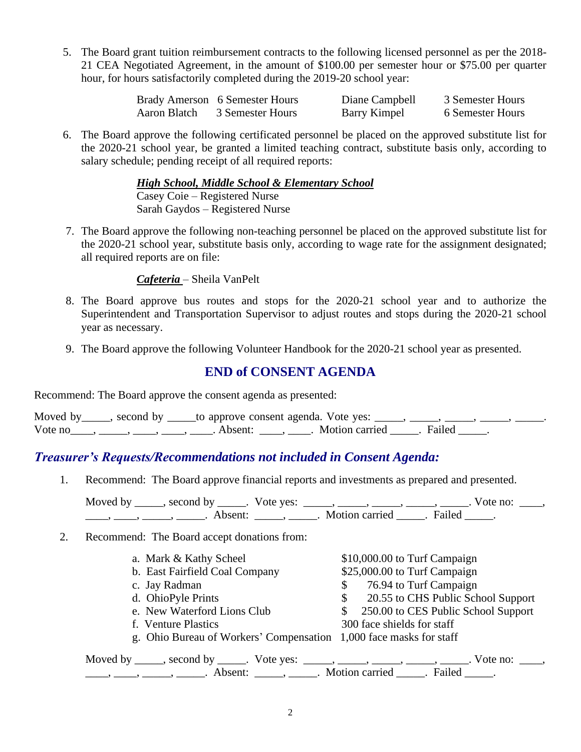5. The Board grant tuition reimbursement contracts to the following licensed personnel as per the 2018- 21 CEA Negotiated Agreement, in the amount of \$100.00 per semester hour or \$75.00 per quarter hour, for hours satisfactorily completed during the 2019-20 school year:

|              | Brady Amerson 6 Semester Hours | Diane Campbell | 3 Semester Hours |
|--------------|--------------------------------|----------------|------------------|
| Aaron Blatch | 3 Semester Hours               | Barry Kimpel   | 6 Semester Hours |

6. The Board approve the following certificated personnel be placed on the approved substitute list for the 2020-21 school year, be granted a limited teaching contract, substitute basis only, according to salary schedule; pending receipt of all required reports:

> *High School, Middle School & Elementary School* Casey Coie – Registered Nurse Sarah Gaydos – Registered Nurse

7. The Board approve the following non-teaching personnel be placed on the approved substitute list for the 2020-21 school year, substitute basis only, according to wage rate for the assignment designated; all required reports are on file:

*Cafeteria* – Sheila VanPelt

- 8. The Board approve bus routes and stops for the 2020-21 school year and to authorize the Superintendent and Transportation Supervisor to adjust routes and stops during the 2020-21 school year as necessary.
- 9. The Board approve the following Volunteer Handbook for the 2020-21 school year as presented.

# **END of CONSENT AGENDA**

Recommend: The Board approve the consent agenda as presented:

|         | Moved by _____, second by _____to approve consent agenda. Vote yes: |                               |  |  |
|---------|---------------------------------------------------------------------|-------------------------------|--|--|
| Vote no |                                                                     | Absent: Motion carried Failed |  |  |

#### *Treasurer's Requests/Recommendations not included in Consent Agenda:*

1. Recommend: The Board approve financial reports and investments as prepared and presented.

Moved by \_\_\_\_\_, second by \_\_\_\_\_. Vote yes:  $\_\_\_\_\_\_\_\_\_\_\_\_\_\_\_\_\_\_\_$  \_\_\_\_, \_\_\_\_, \_\_\_\_. Vote no:  $\_\_\_\_\_\$ \_\_\_\_\_, \_\_\_\_\_\_, \_\_\_\_\_\_\_. Absent: \_\_\_\_\_\_, \_\_\_\_\_\_. Motion carried \_\_\_\_\_\_. Failed \_\_\_\_\_.

2. Recommend: The Board accept donations from:

| a. Mark & Kathy Scheel                                                                                                                                                                                                                                                                                                                                                                                                      | \$10,000.00 to Turf Campaign             |
|-----------------------------------------------------------------------------------------------------------------------------------------------------------------------------------------------------------------------------------------------------------------------------------------------------------------------------------------------------------------------------------------------------------------------------|------------------------------------------|
| b. East Fairfield Coal Company                                                                                                                                                                                                                                                                                                                                                                                              | \$25,000.00 to Turf Campaign             |
| c. Jay Radman                                                                                                                                                                                                                                                                                                                                                                                                               | 76.94 to Turf Campaign<br>\$             |
| d. OhioPyle Prints                                                                                                                                                                                                                                                                                                                                                                                                          | 20.55 to CHS Public School Support<br>\$ |
| e. New Waterford Lions Club                                                                                                                                                                                                                                                                                                                                                                                                 | \$ 250.00 to CES Public School Support   |
| f. Venture Plastics                                                                                                                                                                                                                                                                                                                                                                                                         | 300 face shields for staff               |
| g. Ohio Bureau of Workers' Compensation 1,000 face masks for staff                                                                                                                                                                                                                                                                                                                                                          |                                          |
| Moved by _____, second by _____. Vote yes: _____, _____, _____, _____, _____. Vote no: ____,                                                                                                                                                                                                                                                                                                                                |                                          |
| $\frac{1}{1}, \frac{1}{1}, \frac{1}{1}, \frac{1}{1}, \frac{1}{1}, \frac{1}{1}, \frac{1}{1}, \frac{1}{1}, \frac{1}{1}, \frac{1}{1}, \frac{1}{1}, \frac{1}{1}, \frac{1}{1}, \frac{1}{1}, \frac{1}{1}, \frac{1}{1}, \frac{1}{1}, \frac{1}{1}, \frac{1}{1}, \frac{1}{1}, \frac{1}{1}, \frac{1}{1}, \frac{1}{1}, \frac{1}{1}, \frac{1}{1}, \frac{1}{1}, \frac{1}{1}, \frac{1}{1}, \frac{1}{1}, \frac{1}{1}, \frac{1}{1}, \frac{$ |                                          |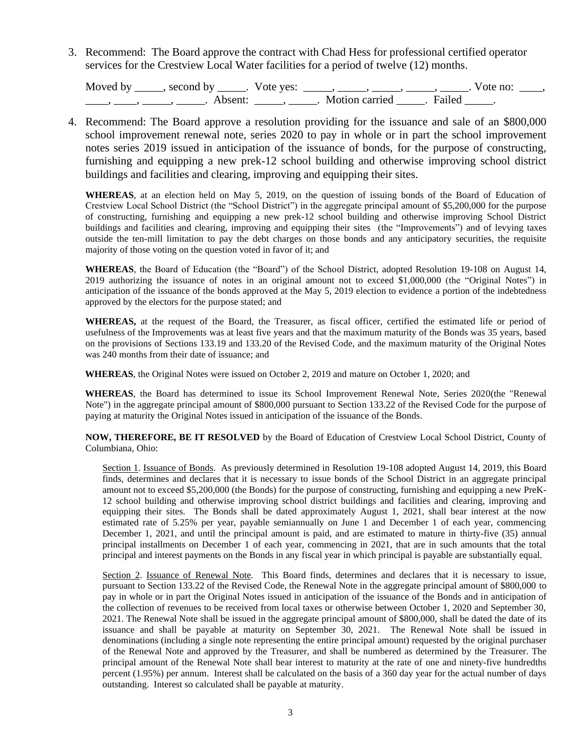3. Recommend: The Board approve the contract with Chad Hess for professional certified operator services for the Crestview Local Water facilities for a period of twelve (12) months.

Moved by \_\_\_\_\_, second by \_\_\_\_\_. Vote yes: \_\_\_\_\_, \_\_\_\_\_, \_\_\_\_\_, \_\_\_\_\_, \_\_\_\_. Vote no: \_\_\_\_, \_\_\_\_\_, \_\_\_\_\_\_, \_\_\_\_\_\_\_. Absent: \_\_\_\_\_\_, \_\_\_\_\_\_. Motion carried \_\_\_\_\_\_. Failed \_\_\_\_\_.

4. Recommend: The Board approve a resolution providing for the issuance and sale of an \$800,000 school improvement renewal note, series 2020 to pay in whole or in part the school improvement notes series 2019 issued in anticipation of the issuance of bonds, for the purpose of constructing, furnishing and equipping a new prek-12 school building and otherwise improving school district buildings and facilities and clearing, improving and equipping their sites.

**WHEREAS**, at an election held on May 5, 2019, on the question of issuing bonds of the Board of Education of Crestview Local School District (the "School District") in the aggregate principal amount of \$5,200,000 for the purpose of constructing, furnishing and equipping a new prek-12 school building and otherwise improving School District buildings and facilities and clearing, improving and equipping their sites (the "Improvements") and of levying taxes outside the ten-mill limitation to pay the debt charges on those bonds and any anticipatory securities, the requisite majority of those voting on the question voted in favor of it; and

**WHEREAS**, the Board of Education (the "Board") of the School District, adopted Resolution 19-108 on August 14, 2019 authorizing the issuance of notes in an original amount not to exceed \$1,000,000 (the "Original Notes") in anticipation of the issuance of the bonds approved at the May 5, 2019 election to evidence a portion of the indebtedness approved by the electors for the purpose stated; and

**WHEREAS,** at the request of the Board, the Treasurer, as fiscal officer, certified the estimated life or period of usefulness of the Improvements was at least five years and that the maximum maturity of the Bonds was 35 years, based on the provisions of Sections 133.19 and 133.20 of the Revised Code, and the maximum maturity of the Original Notes was 240 months from their date of issuance; and

**WHEREAS**, the Original Notes were issued on October 2, 2019 and mature on October 1, 2020; and

 **WHEREAS**, the Board has determined to issue its School Improvement Renewal Note, Series 2020(the "Renewal Note") in the aggregate principal amount of \$800,000 pursuant to Section 133.22 of the Revised Code for the purpose of paying at maturity the Original Notes issued in anticipation of the issuance of the Bonds.

**NOW, THEREFORE, BE IT RESOLVED** by the Board of Education of Crestview Local School District, County of Columbiana, Ohio:

Section 1. Issuance of Bonds. As previously determined in Resolution 19-108 adopted August 14, 2019, this Board finds, determines and declares that it is necessary to issue bonds of the School District in an aggregate principal amount not to exceed \$5,200,000 (the Bonds) for the purpose of constructing, furnishing and equipping a new PreK-12 school building and otherwise improving school district buildings and facilities and clearing, improving and equipping their sites. The Bonds shall be dated approximately August 1, 2021, shall bear interest at the now estimated rate of 5.25% per year, payable semiannually on June 1 and December 1 of each year, commencing December 1, 2021, and until the principal amount is paid, and are estimated to mature in thirty-five (35) annual principal installments on December 1 of each year, commencing in 2021, that are in such amounts that the total principal and interest payments on the Bonds in any fiscal year in which principal is payable are substantially equal.

Section 2. Issuance of Renewal Note. This Board finds, determines and declares that it is necessary to issue, pursuant to Section 133.22 of the Revised Code, the Renewal Note in the aggregate principal amount of \$800,000 to pay in whole or in part the Original Notes issued in anticipation of the issuance of the Bonds and in anticipation of the collection of revenues to be received from local taxes or otherwise between October 1, 2020 and September 30, 2021. The Renewal Note shall be issued in the aggregate principal amount of \$800,000, shall be dated the date of its issuance and shall be payable at maturity on September 30, 2021. The Renewal Note shall be issued in denominations (including a single note representing the entire principal amount) requested by the original purchaser of the Renewal Note and approved by the Treasurer, and shall be numbered as determined by the Treasurer. The principal amount of the Renewal Note shall bear interest to maturity at the rate of one and ninety-five hundredths percent (1.95%) per annum. Interest shall be calculated on the basis of a 360 day year for the actual number of days outstanding. Interest so calculated shall be payable at maturity.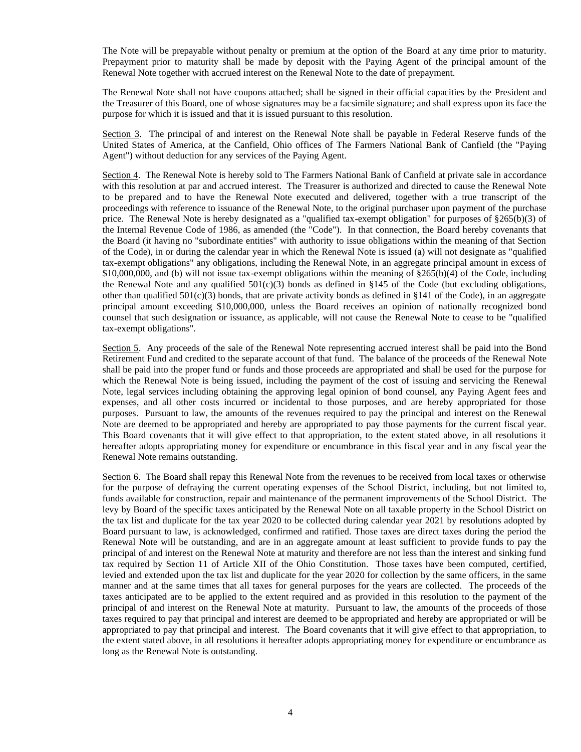The Note will be prepayable without penalty or premium at the option of the Board at any time prior to maturity. Prepayment prior to maturity shall be made by deposit with the Paying Agent of the principal amount of the Renewal Note together with accrued interest on the Renewal Note to the date of prepayment.

The Renewal Note shall not have coupons attached; shall be signed in their official capacities by the President and the Treasurer of this Board, one of whose signatures may be a facsimile signature; and shall express upon its face the purpose for which it is issued and that it is issued pursuant to this resolution.

Section 3. The principal of and interest on the Renewal Note shall be payable in Federal Reserve funds of the United States of America, at the Canfield, Ohio offices of The Farmers National Bank of Canfield (the "Paying Agent") without deduction for any services of the Paying Agent.

Section 4. The Renewal Note is hereby sold to The Farmers National Bank of Canfield at private sale in accordance with this resolution at par and accrued interest. The Treasurer is authorized and directed to cause the Renewal Note to be prepared and to have the Renewal Note executed and delivered, together with a true transcript of the proceedings with reference to issuance of the Renewal Note, to the original purchaser upon payment of the purchase price. The Renewal Note is hereby designated as a "qualified tax-exempt obligation" for purposes of §265(b)(3) of the Internal Revenue Code of 1986, as amended (the "Code"). In that connection, the Board hereby covenants that the Board (it having no "subordinate entities" with authority to issue obligations within the meaning of that Section of the Code), in or during the calendar year in which the Renewal Note is issued (a) will not designate as "qualified tax-exempt obligations" any obligations, including the Renewal Note, in an aggregate principal amount in excess of \$10,000,000, and (b) will not issue tax-exempt obligations within the meaning of §265(b)(4) of the Code, including the Renewal Note and any qualified  $501(c)(3)$  bonds as defined in §145 of the Code (but excluding obligations, other than qualified  $501(c)(3)$  bonds, that are private activity bonds as defined in §141 of the Code), in an aggregate principal amount exceeding \$10,000,000, unless the Board receives an opinion of nationally recognized bond counsel that such designation or issuance, as applicable, will not cause the Renewal Note to cease to be "qualified tax-exempt obligations".

Section 5. Any proceeds of the sale of the Renewal Note representing accrued interest shall be paid into the Bond Retirement Fund and credited to the separate account of that fund. The balance of the proceeds of the Renewal Note shall be paid into the proper fund or funds and those proceeds are appropriated and shall be used for the purpose for which the Renewal Note is being issued, including the payment of the cost of issuing and servicing the Renewal Note, legal services including obtaining the approving legal opinion of bond counsel, any Paying Agent fees and expenses, and all other costs incurred or incidental to those purposes, and are hereby appropriated for those purposes. Pursuant to law, the amounts of the revenues required to pay the principal and interest on the Renewal Note are deemed to be appropriated and hereby are appropriated to pay those payments for the current fiscal year. This Board covenants that it will give effect to that appropriation, to the extent stated above, in all resolutions it hereafter adopts appropriating money for expenditure or encumbrance in this fiscal year and in any fiscal year the Renewal Note remains outstanding.

Section 6. The Board shall repay this Renewal Note from the revenues to be received from local taxes or otherwise for the purpose of defraying the current operating expenses of the School District, including, but not limited to, funds available for construction, repair and maintenance of the permanent improvements of the School District. The levy by Board of the specific taxes anticipated by the Renewal Note on all taxable property in the School District on the tax list and duplicate for the tax year 2020 to be collected during calendar year 2021 by resolutions adopted by Board pursuant to law, is acknowledged, confirmed and ratified. Those taxes are direct taxes during the period the Renewal Note will be outstanding, and are in an aggregate amount at least sufficient to provide funds to pay the principal of and interest on the Renewal Note at maturity and therefore are not less than the interest and sinking fund tax required by Section 11 of Article XII of the Ohio Constitution. Those taxes have been computed, certified, levied and extended upon the tax list and duplicate for the year 2020 for collection by the same officers, in the same manner and at the same times that all taxes for general purposes for the years are collected. The proceeds of the taxes anticipated are to be applied to the extent required and as provided in this resolution to the payment of the principal of and interest on the Renewal Note at maturity. Pursuant to law, the amounts of the proceeds of those taxes required to pay that principal and interest are deemed to be appropriated and hereby are appropriated or will be appropriated to pay that principal and interest. The Board covenants that it will give effect to that appropriation, to the extent stated above, in all resolutions it hereafter adopts appropriating money for expenditure or encumbrance as long as the Renewal Note is outstanding.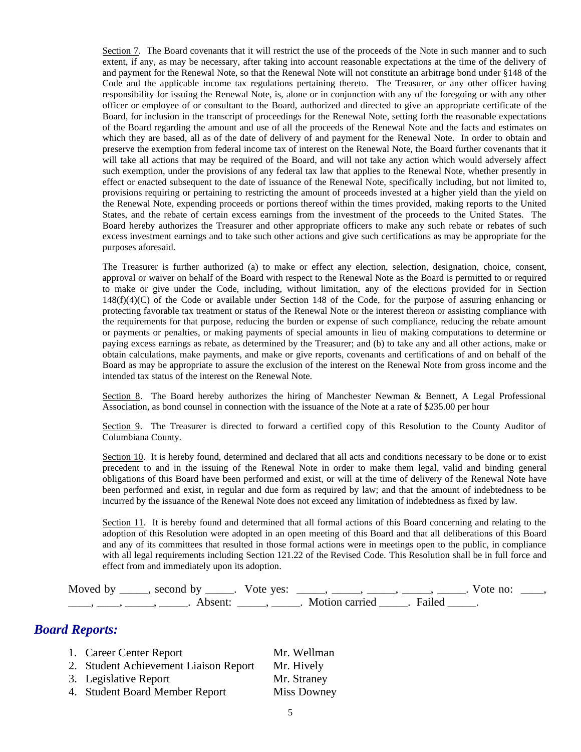Section 7. The Board covenants that it will restrict the use of the proceeds of the Note in such manner and to such extent, if any, as may be necessary, after taking into account reasonable expectations at the time of the delivery of and payment for the Renewal Note, so that the Renewal Note will not constitute an arbitrage bond under §148 of the Code and the applicable income tax regulations pertaining thereto. The Treasurer, or any other officer having responsibility for issuing the Renewal Note, is, alone or in conjunction with any of the foregoing or with any other officer or employee of or consultant to the Board, authorized and directed to give an appropriate certificate of the Board, for inclusion in the transcript of proceedings for the Renewal Note, setting forth the reasonable expectations of the Board regarding the amount and use of all the proceeds of the Renewal Note and the facts and estimates on which they are based, all as of the date of delivery of and payment for the Renewal Note. In order to obtain and preserve the exemption from federal income tax of interest on the Renewal Note, the Board further covenants that it will take all actions that may be required of the Board, and will not take any action which would adversely affect such exemption, under the provisions of any federal tax law that applies to the Renewal Note, whether presently in effect or enacted subsequent to the date of issuance of the Renewal Note, specifically including, but not limited to, provisions requiring or pertaining to restricting the amount of proceeds invested at a higher yield than the yield on the Renewal Note, expending proceeds or portions thereof within the times provided, making reports to the United States, and the rebate of certain excess earnings from the investment of the proceeds to the United States. The Board hereby authorizes the Treasurer and other appropriate officers to make any such rebate or rebates of such excess investment earnings and to take such other actions and give such certifications as may be appropriate for the purposes aforesaid.

The Treasurer is further authorized (a) to make or effect any election, selection, designation, choice, consent, approval or waiver on behalf of the Board with respect to the Renewal Note as the Board is permitted to or required to make or give under the Code, including, without limitation, any of the elections provided for in Section 148(f)(4)(C) of the Code or available under Section 148 of the Code, for the purpose of assuring enhancing or protecting favorable tax treatment or status of the Renewal Note or the interest thereon or assisting compliance with the requirements for that purpose, reducing the burden or expense of such compliance, reducing the rebate amount or payments or penalties, or making payments of special amounts in lieu of making computations to determine or paying excess earnings as rebate, as determined by the Treasurer; and (b) to take any and all other actions, make or obtain calculations, make payments, and make or give reports, covenants and certifications of and on behalf of the Board as may be appropriate to assure the exclusion of the interest on the Renewal Note from gross income and the intended tax status of the interest on the Renewal Note.

Section 8. The Board hereby authorizes the hiring of Manchester Newman & Bennett, A Legal Professional Association, as bond counsel in connection with the issuance of the Note at a rate of \$235.00 per hour

Section 9. The Treasurer is directed to forward a certified copy of this Resolution to the County Auditor of Columbiana County.

Section 10. It is hereby found, determined and declared that all acts and conditions necessary to be done or to exist precedent to and in the issuing of the Renewal Note in order to make them legal, valid and binding general obligations of this Board have been performed and exist, or will at the time of delivery of the Renewal Note have been performed and exist, in regular and due form as required by law; and that the amount of indebtedness to be incurred by the issuance of the Renewal Note does not exceed any limitation of indebtedness as fixed by law.

Section 11. It is hereby found and determined that all formal actions of this Board concerning and relating to the adoption of this Resolution were adopted in an open meeting of this Board and that all deliberations of this Board and any of its committees that resulted in those formal actions were in meetings open to the public, in compliance with all legal requirements including Section 121.22 of the Revised Code. This Resolution shall be in full force and effect from and immediately upon its adoption.

| Moved by second by |                     | Vote yes: |                       |        | Vote no: |  |
|--------------------|---------------------|-----------|-----------------------|--------|----------|--|
|                    | Absent <sup>.</sup> |           | Motion carried Theory | Failed |          |  |

#### *Board Reports:*

1. Career Center Report Mr. Wellman 2. Student Achievement Liaison Report Mr. Hively 3. Legislative Report Mr. Straney 4. Student Board Member Report Miss Downey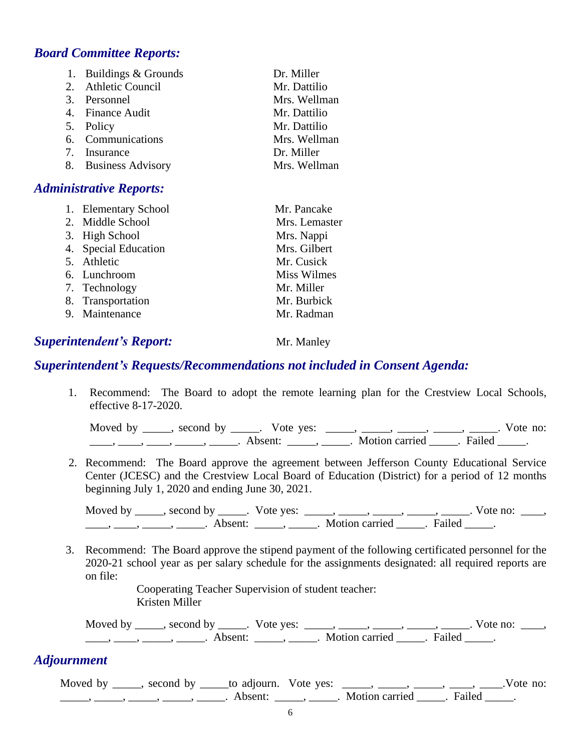# *Board Committee Reports:*

| 1. Buildings & Grounds | Dr. Miller   |
|------------------------|--------------|
| 2. Athletic Council    | Mr. Dattilio |
| 3. Personnel           | Mrs. Wellman |
| 4. Finance Audit       | Mr. Dattilio |
| 5. Policy              | Mr. Dattilio |
| 6. Communications      | Mrs. Wellman |
| 7. Insurance           | Dr. Miller   |
| 8. Business Advisory   | Mrs. Wellman |

# *Administrative Reports:*

| 1. Elementary School | Mr. Pancake   |
|----------------------|---------------|
| 2. Middle School     | Mrs. Lemaster |
| 3. High School       | Mrs. Nappi    |
| 4. Special Education | Mrs. Gilbert  |
| 5. Athletic          | Mr. Cusick    |
| 6. Lunchroom         | Miss Wilmes   |
| 7. Technology        | Mr. Miller    |
| 8. Transportation    | Mr. Burbick   |
| 9. Maintenance       | Mr. Radman    |

# **Superintendent's Report:** Mr. Manley

#### *Superintendent's Requests/Recommendations not included in Consent Agenda:*

 1. Recommend: The Board to adopt the remote learning plan for the Crestview Local Schools, effective 8-17-2020.

Moved by \_\_\_\_\_, second by \_\_\_\_\_. Vote yes: \_\_\_\_\_, \_\_\_\_\_, \_\_\_\_\_, \_\_\_\_\_, \_\_\_\_\_. Vote no: \_\_\_\_\_, \_\_\_\_\_, \_\_\_\_\_, \_\_\_\_\_\_. Absent: \_\_\_\_\_\_, \_\_\_\_\_. Motion carried \_\_\_\_\_\_. Failed \_\_\_\_\_.

 2. Recommend: The Board approve the agreement between Jefferson County Educational Service Center (JCESC) and the Crestview Local Board of Education (District) for a period of 12 months beginning July 1, 2020 and ending June 30, 2021.

Moved by \_\_\_\_\_, second by \_\_\_\_\_. Vote yes: \_\_\_\_\_, \_\_\_\_\_, \_\_\_\_\_, \_\_\_\_\_, \_\_\_\_\_. Vote no: \_\_\_\_,  $\underbrace{\hspace{2cm}}$ ,  $\underbrace{\hspace{2cm}}$ ,  $\underbrace{\hspace{2cm}}$ . Absent:  $\underbrace{\hspace{2cm}}$ ,  $\underbrace{\hspace{2cm}}$ . Motion carried  $\underbrace{\hspace{2cm}}$ . Failed  $\underbrace{\hspace{2cm}}$ .

 3. Recommend: The Board approve the stipend payment of the following certificated personnel for the 2020-21 school year as per salary schedule for the assignments designated: all required reports are on file:

> Cooperating Teacher Supervision of student teacher: Kristen Miller

Moved by \_\_\_\_\_, second by \_\_\_\_\_. Vote yes: \_\_\_\_\_, \_\_\_\_\_, \_\_\_\_\_, \_\_\_\_\_, \_\_\_\_\_. Vote no: \_\_\_\_, \_\_\_\_\_, \_\_\_\_\_\_, \_\_\_\_\_\_\_. Absent: \_\_\_\_\_\_, \_\_\_\_\_\_. Motion carried \_\_\_\_\_\_. Failed \_\_\_\_\_.

# *Adjournment*

Moved by \_\_\_\_, second by \_\_\_\_\_to adjourn. Vote yes: \_\_\_\_, \_\_\_\_, \_\_\_\_, \_\_\_\_, \_\_\_\_, \_\_\_.Vote no: \_\_\_\_\_, \_\_\_\_\_, \_\_\_\_\_, \_\_\_\_\_, \_\_\_\_\_. Absent: \_\_\_\_\_, \_\_\_\_\_. Motion carried \_\_\_\_\_. Failed \_\_\_\_\_.